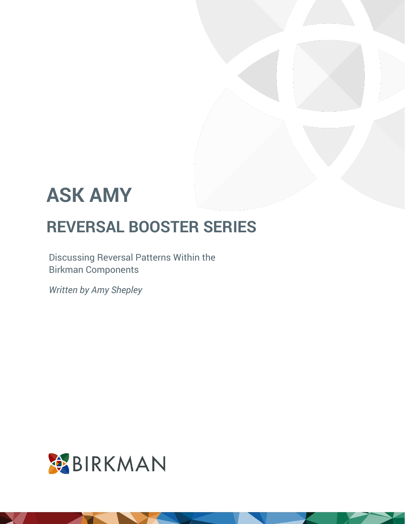Discussing Reversal Patterns Within the Birkman Components

*Written by Amy Shepley*

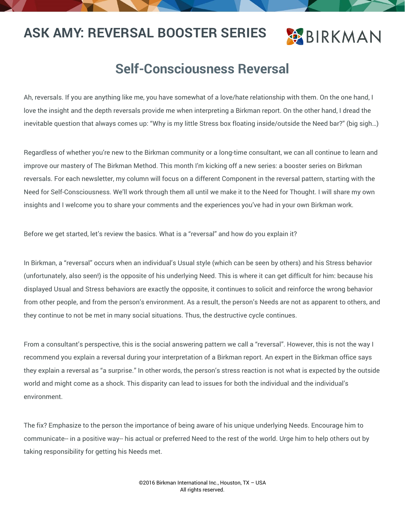### **BIRKMAN**

#### **Self-Consciousness Reversal**

Ah, reversals. If you are anything like me, you have somewhat of a love/hate relationship with them. On the one hand, I love the insight and the depth reversals provide me when interpreting a Birkman report. On the other hand, I dread the inevitable question that always comes up: "Why is my little Stress box floating inside/outside the Need bar?" (big sigh…)

Regardless of whether you're new to the Birkman community or a long-time consultant, we can all continue to learn and improve our mastery of The Birkman Method. This month I'm kicking off a new series: a booster series on Birkman reversals. For each newsletter, my column will focus on a different Component in the reversal pattern, starting with the Need for Self-Consciousness. We'll work through them all until we make it to the Need for Thought. I will share my own insights and I welcome you to share your comments and the experiences you've had in your own Birkman work.

Before we get started, let's review the basics. What is a "reversal" and how do you explain it?

In Birkman, a "reversal" occurs when an individual's Usual style (which can be seen by others) and his Stress behavior (unfortunately, also seen!) is the opposite of his underlying Need. This is where it can get difficult for him: because his displayed Usual and Stress behaviors are exactly the opposite, it continues to solicit and reinforce the wrong behavior from other people, and from the person's environment. As a result, the person's Needs are not as apparent to others, and they continue to not be met in many social situations. Thus, the destructive cycle continues.

From a consultant's perspective, this is the social answering pattern we call a "reversal". However, this is not the way I recommend you explain a reversal during your interpretation of a Birkman report. An expert in the Birkman office says they explain a reversal as "a surprise." In other words, the person's stress reaction is not what is expected by the outside world and might come as a shock. This disparity can lead to issues for both the individual and the individual's environment.

The fix? Emphasize to the person the importance of being aware of his unique underlying Needs. Encourage him to communicate-- in a positive way-- his actual or preferred Need to the rest of the world. Urge him to help others out by taking responsibility for getting his Needs met.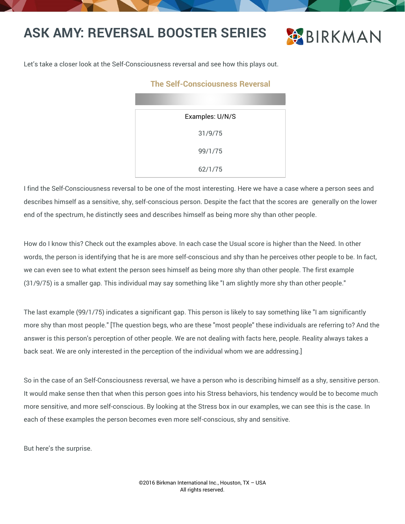

Let's take a closer look at the Self-Consciousness reversal and see how this plays out.

#### **The Self-Consciousness Reversal**

| Examples: U/N/S |  |
|-----------------|--|
| 31/9/75         |  |
| 99/1/75         |  |
| 62/1/75         |  |

I find the Self-Consciousness reversal to be one of the most interesting. Here we have a case where a person sees and describes himself as a sensitive, shy, self-conscious person. Despite the fact that the scores are generally on the lower end of the spectrum, he distinctly sees and describes himself as being more shy than other people.

How do I know this? Check out the examples above. In each case the Usual score is higher than the Need. In other words, the person is identifying that he is are more self-conscious and shy than he perceives other people to be. In fact, we can even see to what extent the person sees himself as being more shy than other people. The first example (31/9/75) is a smaller gap. This individual may say something like "I am slightly more shy than other people."

The last example (99/1/75) indicates a significant gap. This person is likely to say something like "I am significantly more shy than most people." [The question begs, who are these "most people" these individuals are referring to? And the answer is this person's perception of other people. We are not dealing with facts here, people. Reality always takes a back seat. We are only interested in the perception of the individual whom we are addressing.]

So in the case of an Self-Consciousness reversal, we have a person who is describing himself as a shy, sensitive person. It would make sense then that when this person goes into his Stress behaviors, his tendency would be to become much more sensitive, and more self-conscious. By looking at the Stress box in our examples, we can see this is the case. In each of these examples the person becomes even more self-conscious, shy and sensitive.

But here's the surprise.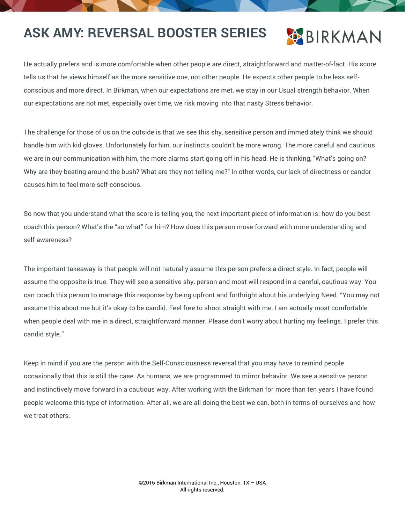

He actually prefers and is more comfortable when other people are direct, straightforward and matter-of-fact. His score tells us that he views himself as the more sensitive one, not other people. He expects other people to be less selfconscious and more direct. In Birkman, when our expectations are met, we stay in our Usual strength behavior. When our expectations are not met, especially over time, we risk moving into that nasty Stress behavior.

The challenge for those of us on the outside is that we see this shy, sensitive person and immediately think we should handle him with kid gloves. Unfortunately for him, our instincts couldn't be more wrong. The more careful and cautious we are in our communication with him, the more alarms start going off in his head. He is thinking, "What's going on? Why are they beating around the bush? What are they not telling me?" In other words, our lack of directness or candor causes him to feel more self-conscious.

So now that you understand what the score is telling you, the next important piece of information is: how do you best coach this person? What's the "so what" for him? How does this person move forward with more understanding and self-awareness?

The important takeaway is that people will not naturally assume this person prefers a direct style. In fact, people will assume the opposite is true. They will see a sensitive shy, person and most will respond in a careful, cautious way. You can coach this person to manage this response by being upfront and forthright about his underlying Need. "You may not assume this about me but it's okay to be candid. Feel free to shoot straight with me. I am actually most comfortable when people deal with me in a direct, straightforward manner. Please don't worry about hurting my feelings. I prefer this candid style."

Keep in mind if you are the person with the Self-Consciousness reversal that you may have to remind people occasionally that this is still the case. As humans, we are programmed to mirror behavior. We see a sensitive person and instinctively move forward in a cautious way. After working with the Birkman for more than ten years I have found people welcome this type of information. After all, we are all doing the best we can, both in terms of ourselves and how we treat others.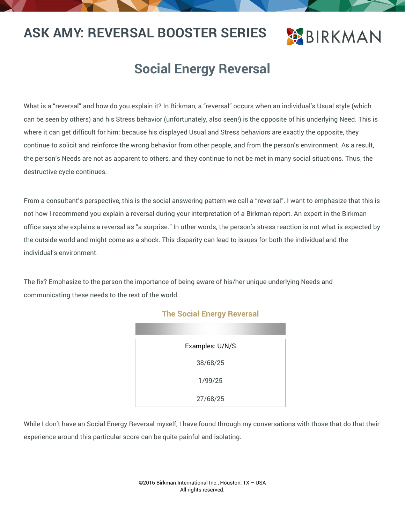## **BIRKMAN**

### **Social Energy Reversal**

What is a "reversal" and how do you explain it? In Birkman, a "reversal" occurs when an individual's Usual style (which can be seen by others) and his Stress behavior (unfortunately, also seen!) is the opposite of his underlying Need. This is where it can get difficult for him: because his displayed Usual and Stress behaviors are exactly the opposite, they continue to solicit and reinforce the wrong behavior from other people, and from the person's environment. As a result, the person's Needs are not as apparent to others, and they continue to not be met in many social situations. Thus, the destructive cycle continues.

From a consultant's perspective, this is the social answering pattern we call a "reversal". I want to emphasize that this is not how I recommend you explain a reversal during your interpretation of a Birkman report. An expert in the Birkman office says she explains a reversal as "a surprise." In other words, the person's stress reaction is not what is expected by the outside world and might come as a shock. This disparity can lead to issues for both the individual and the individual's environment.

The fix? Emphasize to the person the importance of being aware of his/her unique underlying Needs and communicating these needs to the rest of the world.

| Examples: U/N/S |  |
|-----------------|--|
| 38/68/25        |  |
| 1/99/25         |  |
| 27/68/25        |  |

#### **The Social Energy Reversal**

While I don't have an Social Energy Reversal myself, I have found through my conversations with those that do that their experience around this particular score can be quite painful and isolating.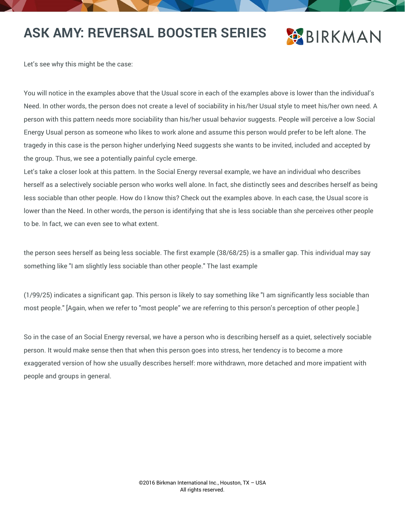## **BIRKMAN**

Let's see why this might be the case:

You will notice in the examples above that the Usual score in each of the examples above is lower than the individual's Need. In other words, the person does not create a level of sociability in his/her Usual style to meet his/her own need. A person with this pattern needs more sociability than his/her usual behavior suggests. People will perceive a low Social Energy Usual person as someone who likes to work alone and assume this person would prefer to be left alone. The tragedy in this case is the person higher underlying Need suggests she wants to be invited, included and accepted by the group. Thus, we see a potentially painful cycle emerge.

Let's take a closer look at this pattern. In the Social Energy reversal example, we have an individual who describes herself as a selectively sociable person who works well alone. In fact, she distinctly sees and describes herself as being less sociable than other people. How do I know this? Check out the examples above. In each case, the Usual score is lower than the Need. In other words, the person is identifying that she is less sociable than she perceives other people to be. In fact, we can even see to what extent.

the person sees herself as being less sociable. The first example (38/68/25) is a smaller gap. This individual may say something like "I am slightly less sociable than other people." The last example

(1/99/25) indicates a significant gap. This person is likely to say something like "I am significantly less sociable than most people." [Again, when we refer to "most people" we are referring to this person's perception of other people.]

So in the case of an Social Energy reversal, we have a person who is describing herself as a quiet, selectively sociable person. It would make sense then that when this person goes into stress, her tendency is to become a more exaggerated version of how she usually describes herself: more withdrawn, more detached and more impatient with people and groups in general.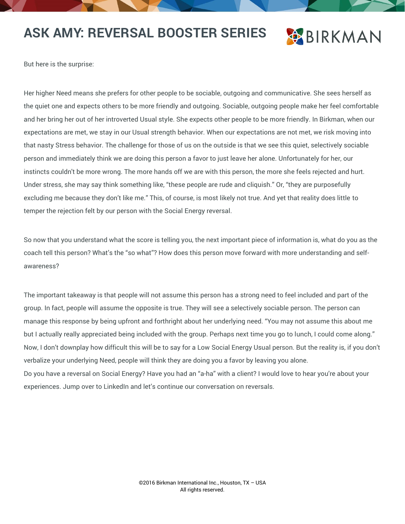### **BIRKMAN**

But here is the surprise:

Her higher Need means she prefers for other people to be sociable, outgoing and communicative. She sees herself as the quiet one and expects others to be more friendly and outgoing. Sociable, outgoing people make her feel comfortable and her bring her out of her introverted Usual style. She expects other people to be more friendly. In Birkman, when our expectations are met, we stay in our Usual strength behavior. When our expectations are not met, we risk moving into that nasty Stress behavior. The challenge for those of us on the outside is that we see this quiet, selectively sociable person and immediately think we are doing this person a favor to just leave her alone. Unfortunately for her, our instincts couldn't be more wrong. The more hands off we are with this person, the more she feels rejected and hurt. Under stress, she may say think something like, "these people are rude and cliquish." Or, "they are purposefully excluding me because they don't like me." This, of course, is most likely not true. And yet that reality does little to temper the rejection felt by our person with the Social Energy reversal.

So now that you understand what the score is telling you, the next important piece of information is, what do you as the coach tell this person? What's the "so what"? How does this person move forward with more understanding and selfawareness?

The important takeaway is that people will not assume this person has a strong need to feel included and part of the group. In fact, people will assume the opposite is true. They will see a selectively sociable person. The person can manage this response by being upfront and forthright about her underlying need. "You may not assume this about me but I actually really appreciated being included with the group. Perhaps next time you go to lunch, I could come along." Now, I don't downplay how difficult this will be to say for a Low Social Energy Usual person. But the reality is, if you don't verbalize your underlying Need, people will think they are doing you a favor by leaving you alone. Do you have a reversal on Social Energy? Have you had an "a-ha" with a client? I would love to hear you're about your experiences. Jump over to LinkedIn and let's continue our conversation on reversals.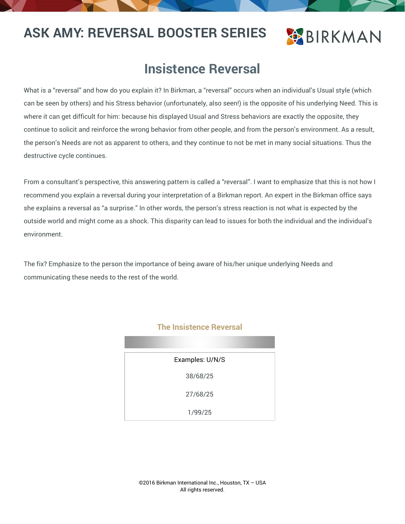### **BIRKMAN**

### **Insistence Reversal**

What is a "reversal" and how do you explain it? In Birkman, a "reversal" occurs when an individual's Usual style (which can be seen by others) and his Stress behavior (unfortunately, also seen!) is the opposite of his underlying Need. This is where it can get difficult for him: because his displayed Usual and Stress behaviors are exactly the opposite, they continue to solicit and reinforce the wrong behavior from other people, and from the person's environment. As a result, the person's Needs are not as apparent to others, and they continue to not be met in many social situations. Thus the destructive cycle continues.

From a consultant's perspective, this answering pattern is called a "reversal". I want to emphasize that this is not how I recommend you explain a reversal during your interpretation of a Birkman report. An expert in the Birkman office says she explains a reversal as "a surprise." In other words, the person's stress reaction is not what is expected by the outside world and might come as a shock. This disparity can lead to issues for both the individual and the individual's environment.

The fix? Emphasize to the person the importance of being aware of his/her unique underlying Needs and communicating these needs to the rest of the world.

| ٠<br>,,,,,,,,,,,,,,<br>-<br>. . |
|---------------------------------|
| Examples: U/N/S                 |
| 38/68/25                        |
| 27/68/25                        |
| 1/99/25                         |

#### **The Insistence Reversal**

©2016 Birkman International Inc., Houston, TX – USA All rights reserved.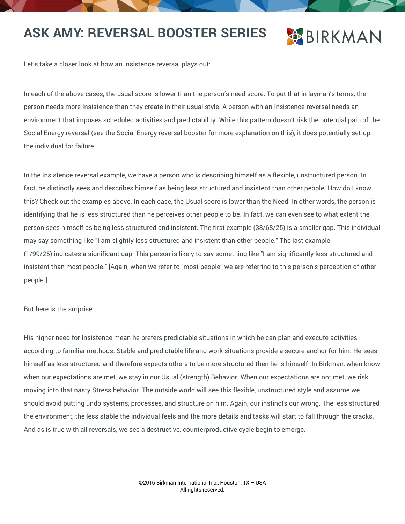### **BIRKMAN**

Let's take a closer look at how an Insistence reversal plays out:

In each of the above cases, the usual score is lower than the person's need score. To put that in layman's terms, the person needs more Insistence than they create in their usual style. A person with an Insistence reversal needs an environment that imposes scheduled activities and predictability. While this pattern doesn't risk the potential pain of the Social Energy reversal (see the Social Energy reversal booster for more explanation on this), it does potentially set-up the individual for failure.

In the Insistence reversal example, we have a person who is describing himself as a flexible, unstructured person. In fact, he distinctly sees and describes himself as being less structured and insistent than other people. How do I know this? Check out the examples above. In each case, the Usual score is lower than the Need. In other words, the person is identifying that he is less structured than he perceives other people to be. In fact, we can even see to what extent the person sees himself as being less structured and insistent. The first example (38/68/25) is a smaller gap. This individual may say something like "I am slightly less structured and insistent than other people." The last example (1/99/25) indicates a significant gap. This person is likely to say something like "I am significantly less structured and insistent than most people." [Again, when we refer to "most people" we are referring to this person's perception of other people.]

But here is the surprise:

His higher need for Insistence mean he prefers predictable situations in which he can plan and execute activities according to familiar methods. Stable and predictable life and work situations provide a secure anchor for him. He sees himself as less structured and therefore expects others to be more structured then he is himself. In Birkman, when know when our expectations are met, we stay in our Usual (strength) Behavior. When our expectations are not met, we risk moving into that nasty Stress behavior. The outside world will see this flexible, unstructured style and assume we should avoid putting undo systems, processes, and structure on him. Again, our instincts our wrong. The less structured the environment, the less stable the individual feels and the more details and tasks will start to fall through the cracks. And as is true with all reversals, we see a destructive, counterproductive cycle begin to emerge.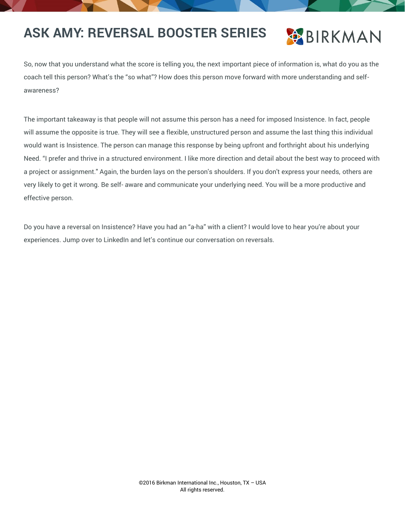

So, now that you understand what the score is telling you, the next important piece of information is, what do you as the coach tell this person? What's the "so what"? How does this person move forward with more understanding and selfawareness?

The important takeaway is that people will not assume this person has a need for imposed Insistence. In fact, people will assume the opposite is true. They will see a flexible, unstructured person and assume the last thing this individual would want is Insistence. The person can manage this response by being upfront and forthright about his underlying Need. "I prefer and thrive in a structured environment. I like more direction and detail about the best way to proceed with a project or assignment." Again, the burden lays on the person's shoulders. If you don't express your needs, others are very likely to get it wrong. Be self- aware and communicate your underlying need. You will be a more productive and effective person.

Do you have a reversal on Insistence? Have you had an "a-ha" with a client? I would love to hear you're about your experiences. Jump over to LinkedIn and let's continue our conversation on reversals.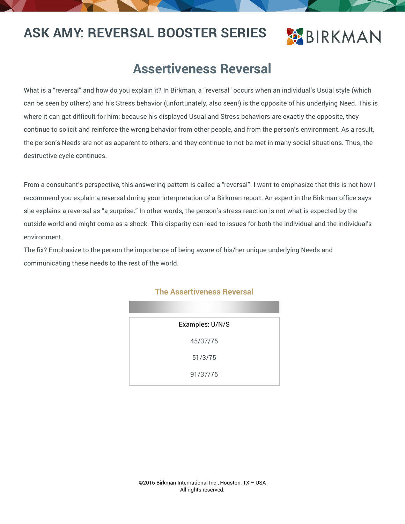## **BIRKMAN**

#### **Assertiveness Reversal**

What is a "reversal" and how do you explain it? In Birkman, a "reversal" occurs when an individual's Usual style (which can be seen by others) and his Stress behavior (unfortunately, also seen!) is the opposite of his underlying Need. This is where it can get difficult for him: because his displayed Usual and Stress behaviors are exactly the opposite, they continue to solicit and reinforce the wrong behavior from other people, and from the person's environment. As a result, the person's Needs are not as apparent to others, and they continue to not be met in many social situations. Thus, the destructive cycle continues.

From a consultant's perspective, this answering pattern is called a "reversal". I want to emphasize that this is not how I recommend you explain a reversal during your interpretation of a Birkman report. An expert in the Birkman office says she explains a reversal as "a surprise." In other words, the person's stress reaction is not what is expected by the outside world and might come as a shock. This disparity can lead to issues for both the individual and the individual's environment.

The fix? Emphasize to the person the importance of being aware of his/her unique underlying Needs and communicating these needs to the rest of the world.

| Examples: U/N/S |  |
|-----------------|--|
| 45/37/75        |  |
| 51/3/75         |  |
| 91/37/75        |  |

#### **The Assertiveness Reversal**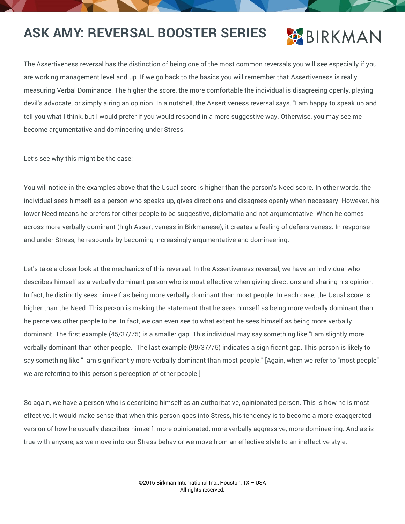## **BIRKMAN**

The Assertiveness reversal has the distinction of being one of the most common reversals you will see especially if you are working management level and up. If we go back to the basics you will remember that Assertiveness is really measuring Verbal Dominance. The higher the score, the more comfortable the individual is disagreeing openly, playing devil's advocate, or simply airing an opinion. In a nutshell, the Assertiveness reversal says, "I am happy to speak up and tell you what I think, but I would prefer if you would respond in a more suggestive way. Otherwise, you may see me become argumentative and domineering under Stress.

Let's see why this might be the case:

You will notice in the examples above that the Usual score is higher than the person's Need score. In other words, the individual sees himself as a person who speaks up, gives directions and disagrees openly when necessary. However, his lower Need means he prefers for other people to be suggestive, diplomatic and not argumentative. When he comes across more verbally dominant (high Assertiveness in Birkmanese), it creates a feeling of defensiveness. In response and under Stress, he responds by becoming increasingly argumentative and domineering.

Let's take a closer look at the mechanics of this reversal. In the Assertiveness reversal, we have an individual who describes himself as a verbally dominant person who is most effective when giving directions and sharing his opinion. In fact, he distinctly sees himself as being more verbally dominant than most people. In each case, the Usual score is higher than the Need. This person is making the statement that he sees himself as being more verbally dominant than he perceives other people to be. In fact, we can even see to what extent he sees himself as being more verbally dominant. The first example (45/37/75) is a smaller gap. This individual may say something like "I am slightly more verbally dominant than other people." The last example (99/37/75) indicates a significant gap. This person is likely to say something like "I am significantly more verbally dominant than most people." [Again, when we refer to "most people" we are referring to this person's perception of other people.]

So again, we have a person who is describing himself as an authoritative, opinionated person. This is how he is most effective. It would make sense that when this person goes into Stress, his tendency is to become a more exaggerated version of how he usually describes himself: more opinionated, more verbally aggressive, more domineering. And as is true with anyone, as we move into our Stress behavior we move from an effective style to an ineffective style.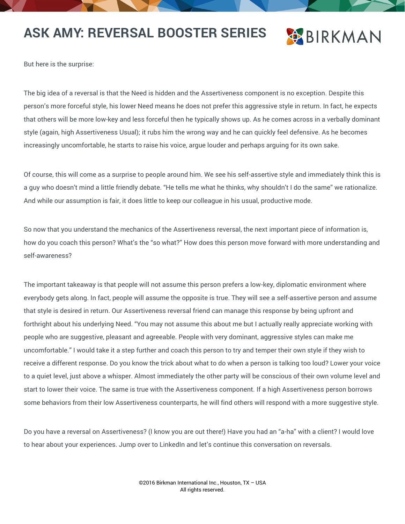## **BIRKMAN**

But here is the surprise:

The big idea of a reversal is that the Need is hidden and the Assertiveness component is no exception. Despite this person's more forceful style, his lower Need means he does not prefer this aggressive style in return. In fact, he expects that others will be more low-key and less forceful then he typically shows up. As he comes across in a verbally dominant style (again, high Assertiveness Usual); it rubs him the wrong way and he can quickly feel defensive. As he becomes increasingly uncomfortable, he starts to raise his voice, argue louder and perhaps arguing for its own sake.

Of course, this will come as a surprise to people around him. We see his self-assertive style and immediately think this is a guy who doesn't mind a little friendly debate. "He tells me what he thinks, why shouldn't I do the same" we rationalize. And while our assumption is fair, it does little to keep our colleague in his usual, productive mode.

So now that you understand the mechanics of the Assertiveness reversal, the next important piece of information is, how do you coach this person? What's the "so what?" How does this person move forward with more understanding and self-awareness?

The important takeaway is that people will not assume this person prefers a low-key, diplomatic environment where everybody gets along. In fact, people will assume the opposite is true. They will see a self-assertive person and assume that style is desired in return. Our Assertiveness reversal friend can manage this response by being upfront and forthright about his underlying Need. "You may not assume this about me but I actually really appreciate working with people who are suggestive, pleasant and agreeable. People with very dominant, aggressive styles can make me uncomfortable." I would take it a step further and coach this person to try and temper their own style if they wish to receive a different response. Do you know the trick about what to do when a person is talking too loud? Lower your voice to a quiet level, just above a whisper. Almost immediately the other party will be conscious of their own volume level and start to lower their voice. The same is true with the Assertiveness component. If a high Assertiveness person borrows some behaviors from their low Assertiveness counterparts, he will find others will respond with a more suggestive style.

Do you have a reversal on Assertiveness? (I know you are out there!) Have you had an "a-ha" with a client? I would love to hear about your experiences. Jump over to LinkedIn and let's continue this conversation on reversals.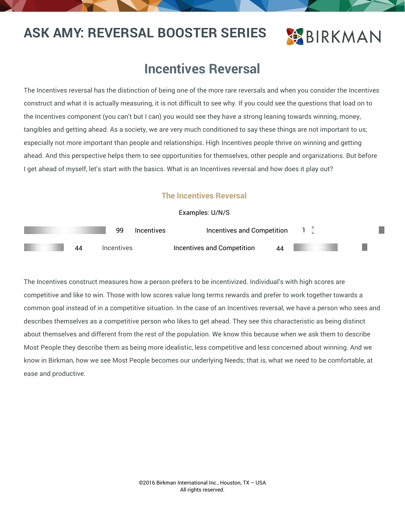## **OBIRKMAN**

#### **Incentives Reversal**

The Incentives reversal has the distinction of being one of the more rare reversals and when you consider the Incentives construct and what it is actually measuring, it is not difficult to see why. If you could see the questions that load on to the Incentives component (you can't but I can) you would see they have a strong leaning towards winning, money, tangibles and getting ahead. As a society, we are very much conditioned to say these things are not important to us; especially not more important than people and relationships. High Incentives people thrive on winning and getting ahead. And this perspective helps them to see opportunities for themselves, other people and organizations. But before I get ahead of myself, let's start with the basics. What is an Incentives reversal and how does it play out?

#### **The Incentives Reversal**

#### Examples: U/N/S

|    | qq                              | Incentives | Incentives and Competition |    |  |  |
|----|---------------------------------|------------|----------------------------|----|--|--|
| 44 | <i><u><b>Incentives</b></u></i> |            | Incentives and Competition | 44 |  |  |

The Incentives construct measures how a person prefers to be incentivized. Individual's with high scores are competitive and like to win. Those with low scores value long terms rewards and prefer to work together towards a common goal instead of in a competitive situation. In the case of an Incentives reversal, we have a person who sees and describes themselves as a competitive person who likes to get ahead. They see this characteristic as being distinct about themselves and different from the rest of the population. We know this because when we ask them to describe Most People they describe them as being more idealistic, less competitive and less concerned about winning. And we know in Birkman, how we see Most People becomes our underlying Needs; that is, what we need to be comfortable, at ease and productive.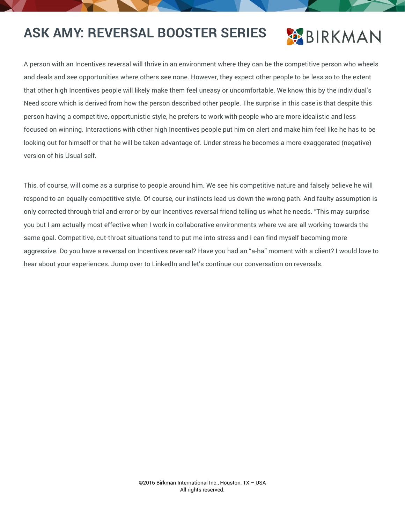## **BIRKMAN**

A person with an Incentives reversal will thrive in an environment where they can be the competitive person who wheels and deals and see opportunities where others see none. However, they expect other people to be less so to the extent that other high Incentives people will likely make them feel uneasy or uncomfortable. We know this by the individual's Need score which is derived from how the person described other people. The surprise in this case is that despite this person having a competitive, opportunistic style, he prefers to work with people who are more idealistic and less focused on winning. Interactions with other high Incentives people put him on alert and make him feel like he has to be looking out for himself or that he will be taken advantage of. Under stress he becomes a more exaggerated (negative) version of his Usual self.

This, of course, will come as a surprise to people around him. We see his competitive nature and falsely believe he will respond to an equally competitive style. Of course, our instincts lead us down the wrong path. And faulty assumption is only corrected through trial and error or by our Incentives reversal friend telling us what he needs. "This may surprise you but I am actually most effective when I work in collaborative environments where we are all working towards the same goal. Competitive, cut-throat situations tend to put me into stress and I can find myself becoming more aggressive. Do you have a reversal on Incentives reversal? Have you had an "a-ha" moment with a client? I would love to hear about your experiences. Jump over to LinkedIn and let's continue our conversation on reversals.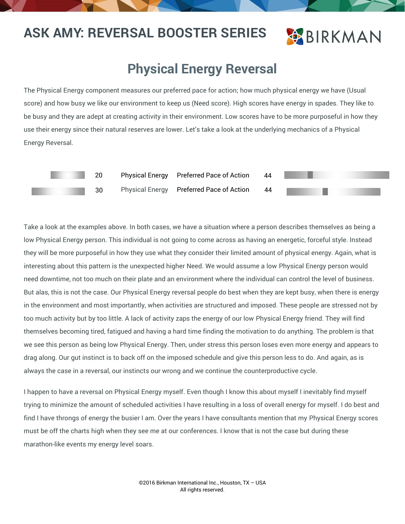### **BIRKMAN**

#### **Physical Energy Reversal**

The Physical Energy component measures our preferred pace for action; how much physical energy we have (Usual score) and how busy we like our environment to keep us (Need score). High scores have energy in spades. They like to be busy and they are adept at creating activity in their environment. Low scores have to be more purposeful in how they use their energy since their natural reserves are lower. Let's take a look at the underlying mechanics of a Physical Energy Reversal.



Take a look at the examples above. In both cases, we have a situation where a person describes themselves as being a low Physical Energy person. This individual is not going to come across as having an energetic, forceful style. Instead they will be more purposeful in how they use what they consider their limited amount of physical energy. Again, what is interesting about this pattern is the unexpected higher Need. We would assume a low Physical Energy person would need downtime, not too much on their plate and an environment where the individual can control the level of business. But alas, this is not the case. Our Physical Energy reversal people do best when they are kept busy, when there is energy in the environment and most importantly, when activities are structured and imposed. These people are stressed not by too much activity but by too little. A lack of activity zaps the energy of our low Physical Energy friend. They will find themselves becoming tired, fatigued and having a hard time finding the motivation to do anything. The problem is that we see this person as being low Physical Energy. Then, under stress this person loses even more energy and appears to drag along. Our gut instinct is to back off on the imposed schedule and give this person less to do. And again, as is always the case in a reversal, our instincts our wrong and we continue the counterproductive cycle.

I happen to have a reversal on Physical Energy myself. Even though I know this about myself I inevitably find myself trying to minimize the amount of scheduled activities I have resulting in a loss of overall energy for myself. I do best and find I have throngs of energy the busier I am. Over the years I have consultants mention that my Physical Energy scores must be off the charts high when they see me at our conferences. I know that is not the case but during these marathon-like events my energy level soars.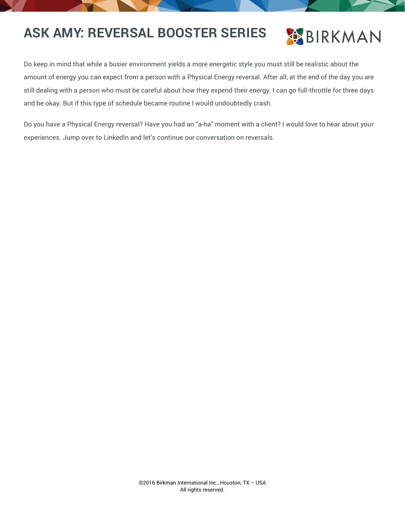

Do keep in mind that while a busier environment yields a more energetic style you must still be realistic about the amount of energy you can expect from a person with a Physical Energy reversal. After all, at the end of the day you are still dealing with a person who must be careful about how they expend their energy. I can go full-throttle for three days and be okay. But if this type of schedule became routine I would undoubtedly crash.

Do you have a Physical Energy reversal? Have you had an "a-ha" moment with a client? I would love to hear about your experiences. Jump over to LinkedIn and let's continue our conversation on reversals.

> 16 ©2016 Birkman International Inc., Houston, TX – USA All rights reserved.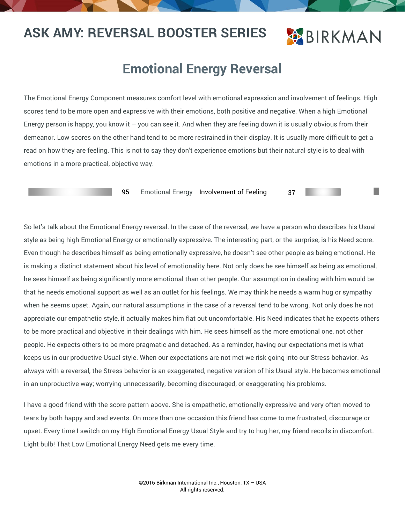### **BIRKMAN**

#### **Emotional Energy Reversal**

The Emotional Energy Component measures comfort level with emotional expression and involvement of feelings. High scores tend to be more open and expressive with their emotions, both positive and negative. When a high Emotional Energy person is happy, you know it  $-$  you can see it. And when they are feeling down it is usually obvious from their demeanor. Low scores on the other hand tend to be more restrained in their display. It is usually more difficult to get a read on how they are feeling. This is not to say they don't experience emotions but their natural style is to deal with emotions in a more practical, objective way.

95 Emotional Energy Involvement of Feeling 37

So let's talk about the Emotional Energy reversal. In the case of the reversal, we have a person who describes his Usual style as being high Emotional Energy or emotionally expressive. The interesting part, or the surprise, is his Need score. Even though he describes himself as being emotionally expressive, he doesn't see other people as being emotional. He is making a distinct statement about his level of emotionality here. Not only does he see himself as being as emotional, he sees himself as being significantly more emotional than other people. Our assumption in dealing with him would be that he needs emotional support as well as an outlet for his feelings. We may think he needs a warm hug or sympathy when he seems upset. Again, our natural assumptions in the case of a reversal tend to be wrong. Not only does he not appreciate our empathetic style, it actually makes him flat out uncomfortable. His Need indicates that he expects others to be more practical and objective in their dealings with him. He sees himself as the more emotional one, not other people. He expects others to be more pragmatic and detached. As a reminder, having our expectations met is what keeps us in our productive Usual style. When our expectations are not met we risk going into our Stress behavior. As always with a reversal, the Stress behavior is an exaggerated, negative version of his Usual style. He becomes emotional in an unproductive way; worrying unnecessarily, becoming discouraged, or exaggerating his problems.

I have a good friend with the score pattern above. She is empathetic, emotionally expressive and very often moved to tears by both happy and sad events. On more than one occasion this friend has come to me frustrated, discourage or upset. Every time I switch on my High Emotional Energy Usual Style and try to hug her, my friend recoils in discomfort. Light bulb! That Low Emotional Energy Need gets me every time.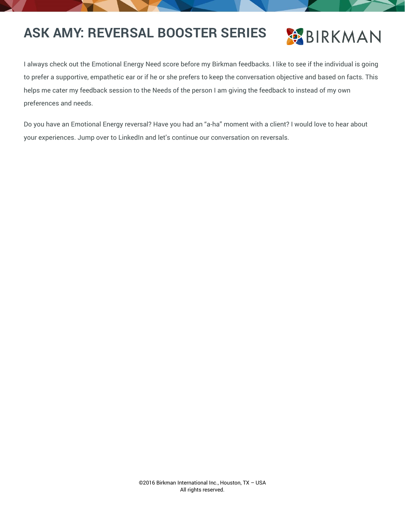

I always check out the Emotional Energy Need score before my Birkman feedbacks. I like to see if the individual is going to prefer a supportive, empathetic ear or if he or she prefers to keep the conversation objective and based on facts. This helps me cater my feedback session to the Needs of the person I am giving the feedback to instead of my own preferences and needs.

Do you have an Emotional Energy reversal? Have you had an "a-ha" moment with a client? I would love to hear about your experiences. Jump over to LinkedIn and let's continue our conversation on reversals.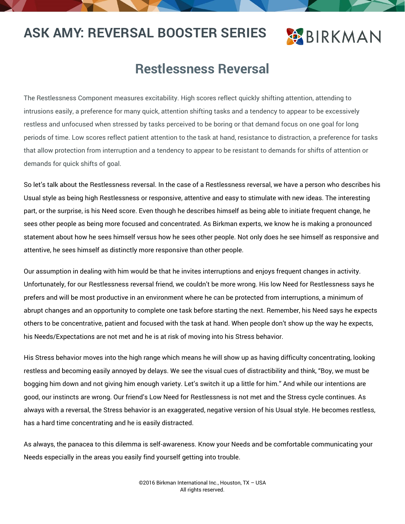## **BIRKMAN**

#### **Restlessness Reversal**

The Restlessness Component measures excitability. High scores reflect quickly shifting attention, attending to intrusions easily, a preference for many quick, attention shifting tasks and a tendency to appear to be excessively restless and unfocused when stressed by tasks perceived to be boring or that demand focus on one goal for long periods of time. Low scores reflect patient attention to the task at hand, resistance to distraction, a preference for tasks that allow protection from interruption and a tendency to appear to be resistant to demands for shifts of attention or demands for quick shifts of goal.

So let's talk about the Restlessness reversal. In the case of a Restlessness reversal, we have a person who describes his Usual style as being high Restlessness or responsive, attentive and easy to stimulate with new ideas. The interesting part, or the surprise, is his Need score. Even though he describes himself as being able to initiate frequent change, he sees other people as being more focused and concentrated. As Birkman experts, we know he is making a pronounced statement about how he sees himself versus how he sees other people. Not only does he see himself as responsive and attentive, he sees himself as distinctly more responsive than other people.

Our assumption in dealing with him would be that he invites interruptions and enjoys frequent changes in activity. Unfortunately, for our Restlessness reversal friend, we couldn't be more wrong. His low Need for Restlessness says he prefers and will be most productive in an environment where he can be protected from interruptions, a minimum of abrupt changes and an opportunity to complete one task before starting the next. Remember, his Need says he expects others to be concentrative, patient and focused with the task at hand. When people don't show up the way he expects, his Needs/Expectations are not met and he is at risk of moving into his Stress behavior.

His Stress behavior moves into the high range which means he will show up as having difficulty concentrating, looking restless and becoming easily annoyed by delays. We see the visual cues of distractibility and think, "Boy, we must be bogging him down and not giving him enough variety. Let's switch it up a little for him." And while our intentions are good, our instincts are wrong. Our friend's Low Need for Restlessness is not met and the Stress cycle continues. As always with a reversal, the Stress behavior is an exaggerated, negative version of his Usual style. He becomes restless, has a hard time concentrating and he is easily distracted.

As always, the panacea to this dilemma is self-awareness. Know your Needs and be comfortable communicating your Needs especially in the areas you easily find yourself getting into trouble.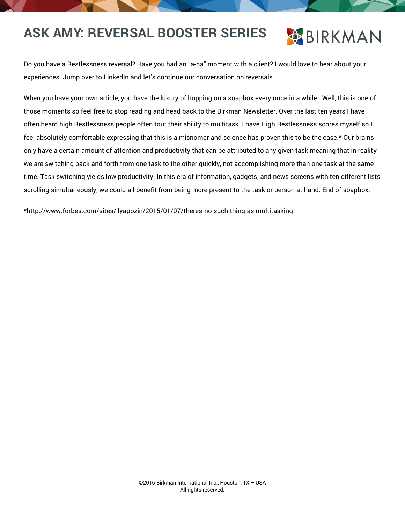## **OBIRKMAN**

Do you have a Restlessness reversal? Have you had an "a-ha" moment with a client? I would love to hear about your experiences. Jump over to LinkedIn and let's continue our conversation on reversals.

When you have your own article, you have the luxury of hopping on a soapbox every once in a while. Well, this is one of those moments so feel free to stop reading and head back to the Birkman Newsletter. Over the last ten years I have often heard high Restlessness people often tout their ability to multitask. I have High Restlessness scores myself so I feel absolutely comfortable expressing that this is a misnomer and science has proven this to be the case.\* Our brains only have a certain amount of attention and productivity that can be attributed to any given task meaning that in reality we are switching back and forth from one task to the other quickly, not accomplishing more than one task at the same time. Task switching yields low productivity. In this era of information, gadgets, and news screens with ten different lists scrolling simultaneously, we could all benefit from being more present to the task or person at hand. End of soapbox.

\*http://www.forbes.com/sites/ilyapozin/2015/01/07/theres-no-such-thing-as-multitasking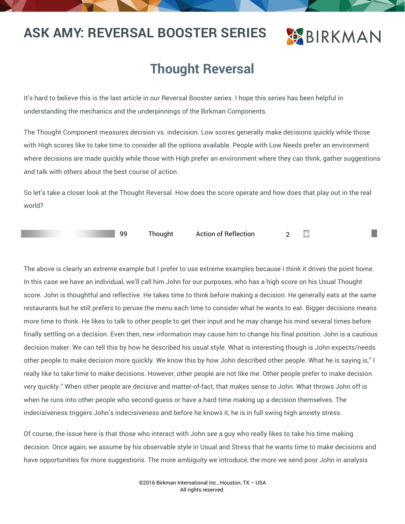### **BIRKMAN**

### **Thought Reversal**

It's hard to believe this is the last article in our Reversal Booster series. I hope this series has been helpful in understanding the mechanics and the underpinnings of the Birkman Components.

The Thought Component measures decision vs. indecision. Low scores generally make decisions quickly while those with High scores like to take time to consider all the options available. People with Low Needs prefer an environment where decisions are made quickly while those with High prefer an environment where they can think, gather suggestions and talk with others about the best course of action.

So let's take a closer look at the Thought Reversal. How does the score operate and how does that play out in the real world?



99 Thought Action of Reflection 2

The above is clearly an extreme example but I prefer to use extreme examples because I think it drives the point home. In this case we have an individual, we'll call him John for our purposes, who has a high score on his Usual Thought score. John is thoughtful and reflective. He takes time to think before making a decision. He generally eats at the same restaurants but he still prefers to peruse the menu each time to consider what he wants to eat. Bigger decisions means more time to think. He likes to talk to other people to get their input and he may change his mind several times before finally settling on a decision. Even then, new information may cause him to change his final position. John is a cautious decision maker. We can tell this by how he described his usual style. What is interesting though is John expects/needs other people to make decision more quickly. We know this by how John described other people. What he is saying is," I really like to take time to make decisions. However, other people are not like me. Other people prefer to make decision very quickly." When other people are decisive and matter-of-fact, that makes sense to John. What throws John off is when he runs into other people who second-guess or have a hard time making up a decision themselves. The indecisiveness triggers John's indecisiveness and before he knows it, he is in full swing high anxiety stress.

Of course, the issue here is that those who interact with John see a guy who really likes to take his time making decision. Once again, we assume by his observable style in Usual and Stress that he wants time to make decisions and have opportunities for more suggestions. The more ambiguity we introduce, the more we send poor John in analysis

> 23 ©2016 Birkman International Inc., Houston, TX – USA All rights reserved.